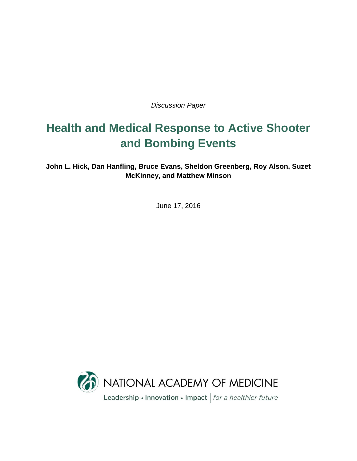*Discussion Paper*

# **Health and Medical Response to Active Shooter and Bombing Events**

**John L. Hick, Dan Hanfling, Bruce Evans, Sheldon Greenberg, Roy Alson, Suzet McKinney, and Matthew Minson**

June 17, 2016

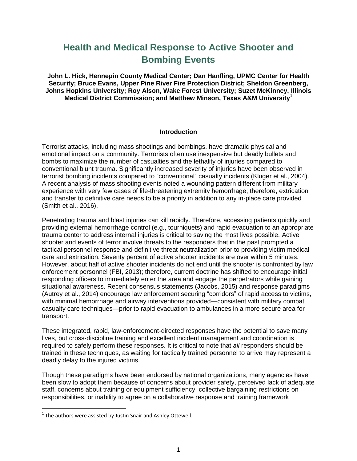# **Health and Medical Response to Active Shooter and Bombing Events**

**John L. Hick, Hennepin County Medical Center; Dan Hanfling, UPMC Center for Health Security; Bruce Evans, Upper Pine River Fire Protection District; Sheldon Greenberg, Johns Hopkins University; Roy Alson, Wake Forest University; Suzet McKinney, Illinois Medical District Commission; and Matthew Minson, Texas A&M University<sup>1</sup>**

#### **Introduction**

Terrorist attacks, including mass shootings and bombings, have dramatic physical and emotional impact on a community. Terrorists often use inexpensive but deadly bullets and bombs to maximize the number of casualties and the lethality of injuries compared to conventional blunt trauma. Significantly increased severity of injuries have been observed in terrorist bombing incidents compared to "conventional" casualty incidents (Kluger et al., 2004). A recent analysis of mass shooting events noted a wounding pattern different from military experience with very few cases of life-threatening extremity hemorrhage; therefore, extrication and transfer to definitive care needs to be a priority in addition to any in-place care provided (Smith et al., 2016).

Penetrating trauma and blast injuries can kill rapidly. Therefore, accessing patients quickly and providing external hemorrhage control (e.g., tourniquets) and rapid evacuation to an appropriate trauma center to address internal injuries is critical to saving the most lives possible. Active shooter and events of terror involve threats to the responders that in the past prompted a tactical personnel response and definitive threat neutralization prior to providing victim medical care and extrication. Seventy percent of active shooter incidents are over within 5 minutes. However, about half of active shooter incidents do not end until the shooter is confronted by law enforcement personnel (FBI, 2013); therefore, current doctrine has shifted to encourage initial responding officers to immediately enter the area and engage the perpetrators while gaining situational awareness. Recent consensus statements (Jacobs, 2015) and response paradigms (Autrey et al., 2014) encourage law enforcement securing "corridors" of rapid access to victims, with minimal hemorrhage and airway interventions provided—consistent with military combat casualty care techniques—prior to rapid evacuation to ambulances in a more secure area for transport.

These integrated, rapid, law-enforcement-directed responses have the potential to save many lives, but cross-discipline training and excellent incident management and coordination is required to safely perform these responses. It is critical to note that *all* responders should be trained in these techniques, as waiting for tactically trained personnel to arrive may represent a deadly delay to the injured victims.

Though these paradigms have been endorsed by national organizations, many agencies have been slow to adopt them because of concerns about provider safety, perceived lack of adequate staff, concerns about training or equipment sufficiency, collective bargaining restrictions on responsibilities, or inability to agree on a collaborative response and training framework

 $1$  The authors were assisted by Justin Snair and Ashley Ottewell.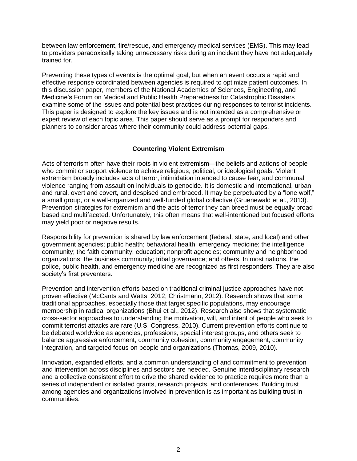between law enforcement, fire/rescue, and emergency medical services (EMS). This may lead to providers paradoxically taking unnecessary risks during an incident they have not adequately trained for.

Preventing these types of events is the optimal goal, but when an event occurs a rapid and effective response coordinated between agencies is required to optimize patient outcomes. In this discussion paper, members of the National Academies of Sciences, Engineering, and Medicine's Forum on Medical and Public Health Preparedness for Catastrophic Disasters examine some of the issues and potential best practices during responses to terrorist incidents. This paper is designed to explore the key issues and is not intended as a comprehensive or expert review of each topic area. This paper should serve as a prompt for responders and planners to consider areas where their community could address potential gaps.

#### **Countering Violent Extremism**

Acts of terrorism often have their roots in violent extremism—the beliefs and actions of people who commit or support violence to achieve religious, political, or ideological goals. Violent extremism broadly includes acts of terror, intimidation intended to cause fear, and communal violence ranging from assault on individuals to genocide. It is domestic and international, urban and rural, overt and covert, and despised and embraced. It may be perpetuated by a "lone wolf," a small group, or a well-organized and well-funded global collective (Gruenewald et al., 2013). Prevention strategies for extremism and the acts of terror they can breed must be equally broad based and multifaceted. Unfortunately, this often means that well-intentioned but focused efforts may yield poor or negative results.

Responsibility for prevention is shared by law enforcement (federal, state, and local) and other government agencies; public health; behavioral health; emergency medicine; the intelligence community; the faith community; education; nonprofit agencies; community and neighborhood organizations; the business community; tribal governance; and others. In most nations, the police, public health, and emergency medicine are recognized as first responders. They are also society's first preventers.

Prevention and intervention efforts based on traditional criminal justice approaches have not proven effective (McCants and Watts, 2012; Christmann, 2012). Research shows that some traditional approaches, especially those that target specific populations, may encourage membership in radical organizations (Bhui et al., 2012). Research also shows that systematic cross-sector approaches to understanding the motivation, will, and intent of people who seek to commit terrorist attacks are rare (U.S. Congress, 2010). Current prevention efforts continue to be debated worldwide as agencies, professions, special interest groups, and others seek to balance aggressive enforcement, community cohesion, community engagement, community integration, and targeted focus on people and organizations (Thomas, 2009, 2010).

Innovation, expanded efforts, and a common understanding of and commitment to prevention and intervention across disciplines and sectors are needed. Genuine interdisciplinary research and a collective consistent effort to drive the shared evidence to practice requires more than a series of independent or isolated grants, research projects, and conferences. Building trust among agencies and organizations involved in prevention is as important as building trust in communities.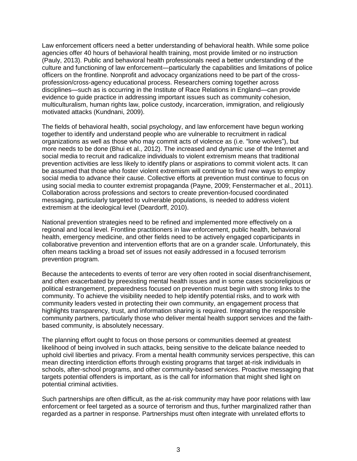Law enforcement officers need a better understanding of behavioral health. While some police agencies offer 40 hours of behavioral health training, most provide limited or no instruction (Pauly, 2013). Public and behavioral health professionals need a better understanding of the culture and functioning of law enforcement—particularly the capabilities and limitations of police officers on the frontline. Nonprofit and advocacy organizations need to be part of the crossprofession/cross-agency educational process. Researchers coming together across disciplines—such as is occurring in the Institute of Race Relations in England—can provide evidence to guide practice in addressing important issues such as community cohesion, multiculturalism, human rights law, police custody, incarceration, immigration, and religiously motivated attacks (Kundnani, 2009).

The fields of behavioral health, social psychology, and law enforcement have begun working together to identify and understand people who are vulnerable to recruitment in radical organizations as well as those who may commit acts of violence as (i.e. "lone wolves"), but more needs to be done (Bhui et al., 2012). The increased and dynamic use of the Internet and social media to recruit and radicalize individuals to violent extremism means that traditional prevention activities are less likely to identify plans or aspirations to commit violent acts. It can be assumed that those who foster violent extremism will continue to find new ways to employ social media to advance their cause. Collective efforts at prevention must continue to focus on using social media to counter extremist propaganda (Payne, 2009; Fenstermacher et al., 2011). Collaboration across professions and sectors to create prevention-focused coordinated messaging, particularly targeted to vulnerable populations, is needed to address violent extremism at the ideological level (Deardorff, 2010).

National prevention strategies need to be refined and implemented more effectively on a regional and local level. Frontline practitioners in law enforcement, public health, behavioral health, emergency medicine, and other fields need to be actively engaged coparticipants in collaborative prevention and intervention efforts that are on a grander scale. Unfortunately, this often means tackling a broad set of issues not easily addressed in a focused terrorism prevention program.

Because the antecedents to events of terror are very often rooted in social disenfranchisement, and often exacerbated by preexisting mental health issues and in some cases socioreligious or political estrangement, preparedness focused on prevention must begin with strong links to the community. To achieve the visibility needed to help identify potential risks, and to work with community leaders vested in protecting their own community, an engagement process that highlights transparency, trust, and information sharing is required. Integrating the responsible community partners, particularly those who deliver mental health support services and the faithbased community, is absolutely necessary.

The planning effort ought to focus on those persons or communities deemed at greatest likelihood of being involved in such attacks, being sensitive to the delicate balance needed to uphold civil liberties and privacy. From a mental health community services perspective, this can mean directing interdiction efforts through existing programs that target at-risk individuals in schools, after-school programs, and other community-based services. Proactive messaging that targets potential offenders is important, as is the call for information that might shed light on potential criminal activities.

Such partnerships are often difficult, as the at-risk community may have poor relations with law enforcement or feel targeted as a source of terrorism and thus, further marginalized rather than regarded as a partner in response. Partnerships must often integrate with unrelated efforts to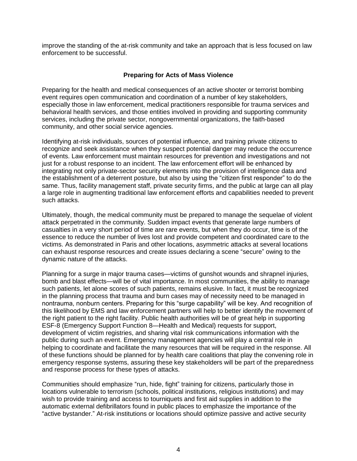improve the standing of the at-risk community and take an approach that is less focused on law enforcement to be successful.

#### **Preparing for Acts of Mass Violence**

Preparing for the health and medical consequences of an active shooter or terrorist bombing event requires open communication and coordination of a number of key stakeholders, especially those in law enforcement, medical practitioners responsible for trauma services and behavioral health services, and those entities involved in providing and supporting community services, including the private sector, nongovernmental organizations, the faith-based community, and other social service agencies.

Identifying at-risk individuals, sources of potential influence, and training private citizens to recognize and seek assistance when they suspect potential danger may reduce the occurrence of events. Law enforcement must maintain resources for prevention and investigations and not just for a robust response to an incident. The law enforcement effort will be enhanced by integrating not only private-sector security elements into the provision of intelligence data and the establishment of a deterrent posture, but also by using the "citizen first responder" to do the same. Thus, facility management staff, private security firms, and the public at large can all play a large role in augmenting traditional law enforcement efforts and capabilities needed to prevent such attacks.

Ultimately, though, the medical community must be prepared to manage the sequelae of violent attack perpetrated in the community. Sudden impact events that generate large numbers of casualties in a very short period of time are rare events, but when they do occur, time is of the essence to reduce the number of lives lost and provide competent and coordinated care to the victims. As demonstrated in Paris and other locations, asymmetric attacks at several locations can exhaust response resources and create issues declaring a scene "secure" owing to the dynamic nature of the attacks.

Planning for a surge in major trauma cases—victims of gunshot wounds and shrapnel injuries, bomb and blast effects—will be of vital importance. In most communities, the ability to manage such patients, let alone scores of such patients, remains elusive. In fact, it must be recognized in the planning process that trauma and burn cases may of necessity need to be managed in nontrauma, nonburn centers. Preparing for this "surge capability" will be key. And recognition of this likelihood by EMS and law enforcement partners will help to better identify the movement of the right patient to the right facility. Public health authorities will be of great help in supporting ESF-8 (Emergency Support Function 8—Health and Medical) requests for support, development of victim registries, and sharing vital risk communications information with the public during such an event. Emergency management agencies will play a central role in helping to coordinate and facilitate the many resources that will be required in the response. All of these functions should be planned for by health care coalitions that play the convening role in emergency response systems, assuring these key stakeholders will be part of the preparedness and response process for these types of attacks.

Communities should emphasize "run, hide, fight" training for citizens, particularly those in locations vulnerable to terrorism (schools, political institutions, religious institutions) and may wish to provide training and access to tourniquets and first aid supplies in addition to the automatic external defibrillators found in public places to emphasize the importance of the "active bystander." At-risk institutions or locations should optimize passive and active security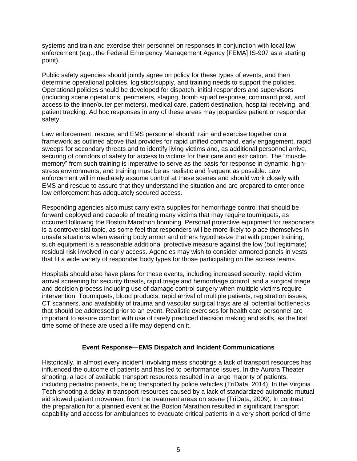systems and train and exercise their personnel on responses in conjunction with local law enforcement (e.g., the Federal Emergency Management Agency [FEMA] IS-907 as a starting point).

Public safety agencies should jointly agree on policy for these types of events, and then determine operational policies, logistics/supply, and training needs to support the policies. Operational policies should be developed for dispatch, initial responders and supervisors (including scene operations, perimeters, staging, bomb squad response, command post, and access to the inner/outer perimeters), medical care, patient destination, hospital receiving, and patient tracking. Ad hoc responses in any of these areas may jeopardize patient or responder safety.

Law enforcement, rescue, and EMS personnel should train and exercise together on a framework as outlined above that provides for rapid unified command, early engagement, rapid sweeps for secondary threats and to identify living victims and, as additional personnel arrive, securing of corridors of safety for access to victims for their care and extrication. The "muscle memory" from such training is imperative to serve as the basis for response in dynamic, highstress environments, and training must be as realistic and frequent as possible. Law enforcement will immediately assume control at these scenes and should work closely with EMS and rescue to assure that they understand the situation and are prepared to enter once law enforcement has adequately secured access.

Responding agencies also must carry extra supplies for hemorrhage control that should be forward deployed and capable of treating many victims that may require tourniquets, as occurred following the Boston Marathon bombing. Personal protective equipment for responders is a controversial topic, as some feel that responders will be more likely to place themselves in unsafe situations when wearing body armor and others hypothesize that with proper training, such equipment is a reasonable additional protective measure against the low (but legitimate) residual risk involved in early access. Agencies may wish to consider armored panels in vests that fit a wide variety of responder body types for those participating on the access teams.

Hospitals should also have plans for these events, including increased security, rapid victim arrival screening for security threats, rapid triage and hemorrhage control, and a surgical triage and decision process including use of damage control surgery when multiple victims require intervention. Tourniquets, blood products, rapid arrival of multiple patients, registration issues, CT scanners, and availability of trauma and vascular surgical trays are all potential bottlenecks that should be addressed prior to an event. Realistic exercises for health care personnel are important to assure comfort with use of rarely practiced decision making and skills, as the first time some of these are used a life may depend on it.

# **Event Response—EMS Dispatch and Incident Communications**

Historically, in almost every incident involving mass shootings a lack of transport resources has influenced the outcome of patients and has led to performance issues. In the Aurora Theater shooting, a lack of available transport resources resulted in a large majority of patients, including pediatric patients, being transported by police vehicles (TriData, 2014). In the Virginia Tech shooting a delay in transport resources caused by a lack of standardized automatic mutual aid slowed patient movement from the treatment areas on scene (TriData, 2009). In contrast, the preparation for a planned event at the Boston Marathon resulted in significant transport capability and access for ambulances to evacuate critical patients in a very short period of time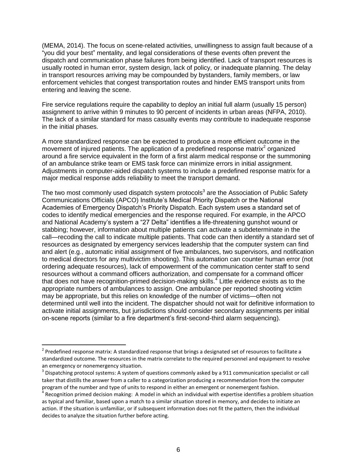(MEMA, 2014). The focus on scene-related activities, unwillingness to assign fault because of a "you did your best" mentality, and legal considerations of these events often prevent the dispatch and communication phase failures from being identified. Lack of transport resources is usually rooted in human error, system design, lack of policy, or inadequate planning. The delay in transport resources arriving may be compounded by bystanders, family members, or law enforcement vehicles that congest transportation routes and hinder EMS transport units from entering and leaving the scene.

Fire service regulations require the capability to deploy an initial full alarm (usually 15 person) assignment to arrive within 9 minutes to 90 percent of incidents in urban areas (NFPA, 2010). The lack of a similar standard for mass casualty events may contribute to inadequate response in the initial phases.

A more standardized response can be expected to produce a more efficient outcome in the movement of injured patients. The application of a predefined response matrix<sup>2</sup> organized around a fire service equivalent in the form of a first alarm medical response or the summoning of an ambulance strike team or EMS task force can minimize errors in initial assignment. Adjustments in computer-aided dispatch systems to include a predefined response matrix for a major medical response adds reliability to meet the transport demand.

The two most commonly used dispatch system protocols<sup>3</sup> are the Association of Public Safety Communications Officials (APCO) Institute's Medical Priority Dispatch or the National Academies of Emergency Dispatch's Priority Dispatch. Each system uses a standard set of codes to identify medical emergencies and the response required. For example, in the APCO and National Academy's system a "27 Delta" identifies a life-threatening gunshot wound or stabbing; however, information about multiple patients can activate a subdeterminate in the call—recoding the call to indicate multiple patients. That code can then identify a standard set of resources as designated by emergency services leadership that the computer system can find and alert (e.g., automatic initial assignment of five ambulances, two supervisors, and notification to medical directors for any multivictim shooting). This automation can counter human error (not ordering adequate resources), lack of empowerment of the communication center staff to send resources without a command officers authorization, and compensate for a command officer that does not have recognition-primed decision-making skills.<sup>4</sup> Little evidence exists as to the appropriate numbers of ambulances to assign. One ambulance per reported shooting victim may be appropriate, but this relies on knowledge of the number of victims—often not determined until well into the incident. The dispatcher should not wait for definitive information to activate initial assignments, but jurisdictions should consider secondary assignments per initial on-scene reports (similar to a fire department's first-second-third alarm sequencing).

 $^2$  Predefined response matrix: A standardized response that brings a designated set of resources to facilitate a standardized outcome. The resources in the matrix correlate to the required personnel and equipment to resolve an emergency or nonemergency situation.

 $^3$  Dispatching protocol systems: A system of questions commonly asked by a 911 communication specialist or call taker that distills the answer from a caller to a categorization producing a recommendation from the computer program of the number and type of units to respond in either an emergent or nonemergent fashion.

<sup>&</sup>lt;sup>4</sup> Recognition primed decision making: A model in which an individual with expertise identifies a problem situation as typical and familiar, based upon a match to a similar situation stored in memory, and decides to initiate an action. If the situation is unfamiliar, or if subsequent information does not fit the pattern, then the individual decides to analyze the situation further before acting.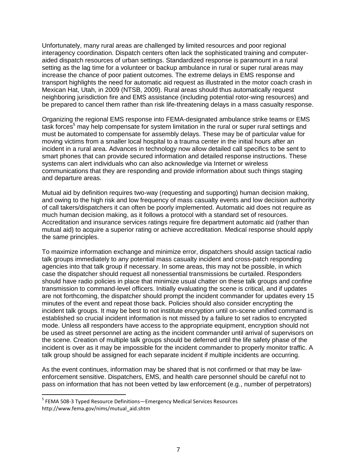Unfortunately, many rural areas are challenged by limited resources and poor regional interagency coordination. Dispatch centers often lack the sophisticated training and computeraided dispatch resources of urban settings. Standardized response is paramount in a rural setting as the lag time for a volunteer or backup ambulance in rural or super rural areas may increase the chance of poor patient outcomes. The extreme delays in EMS response and transport highlights the need for automatic aid request as illustrated in the motor coach crash in Mexican Hat, Utah, in 2009 (NTSB, 2009). Rural areas should thus automatically request neighboring jurisdiction fire and EMS assistance (including potential rotor-wing resources) and be prepared to cancel them rather than risk life-threatening delays in a mass casualty response.

Organizing the regional EMS response into FEMA-designated ambulance strike teams or EMS task forces<sup>5</sup> may help compensate for system limitation in the rural or super rural settings and must be automated to compensate for assembly delays. These may be of particular value for moving victims from a smaller local hospital to a trauma center in the initial hours after an incident in a rural area. Advances in technology now allow detailed call specifics to be sent to smart phones that can provide secured information and detailed response instructions. These systems can alert individuals who can also acknowledge via Internet or wireless communications that they are responding and provide information about such things staging and departure areas.

Mutual aid by definition requires two-way (requesting and supporting) human decision making, and owing to the high risk and low frequency of mass casualty events and low decision authority of call takers/dispatchers it can often be poorly implemented. Automatic aid does not require as much human decision making, as it follows a protocol with a standard set of resources. Accreditation and insurance services ratings require fire department automatic aid (rather than mutual aid) to acquire a superior rating or achieve accreditation. Medical response should apply the same principles.

To maximize information exchange and minimize error, dispatchers should assign tactical radio talk groups immediately to any potential mass casualty incident and cross-patch responding agencies into that talk group if necessary. In some areas, this may not be possible, in which case the dispatcher should request all nonessential transmissions be curtailed. Responders should have radio policies in place that minimize usual chatter on these talk groups and confine transmission to command-level officers. Initially evaluating the scene is critical, and if updates are not forthcoming, the dispatcher should prompt the incident commander for updates every 15 minutes of the event and repeat those back. Policies should also consider encrypting the incident talk groups. It may be best to not institute encryption until on-scene unified command is established so crucial incident information is not missed by a failure to set radios to encrypted mode. Unless all responders have access to the appropriate equipment, encryption should not be used as street personnel are acting as the incident commander until arrival of supervisors on the scene. Creation of multiple talk groups should be deferred until the life safety phase of the incident is over as it may be impossible for the incident commander to properly monitor traffic. A talk group should be assigned for each separate incident if multiple incidents are occurring.

As the event continues, information may be shared that is not confirmed or that may be lawenforcement sensitive. Dispatchers, EMS, and health care personnel should be careful not to pass on information that has not been vetted by law enforcement (e.g., number of perpetrators)

<sup>&</sup>lt;sup>5</sup> FEMA 508-3 Typed Resource Definitions—Emergency Medical Services Resources http://www.fema.gov/nims/mutual\_aid.shtm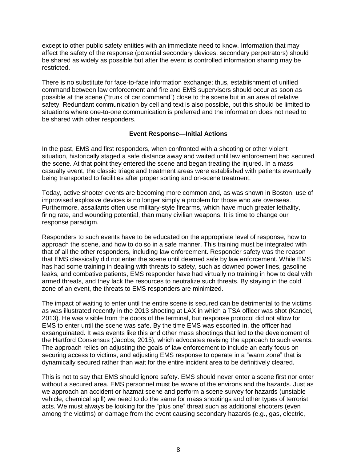except to other public safety entities with an immediate need to know. Information that may affect the safety of the response (potential secondary devices, secondary perpetrators) should be shared as widely as possible but after the event is controlled information sharing may be restricted.

There is no substitute for face-to-face information exchange; thus, establishment of unified command between law enforcement and fire and EMS supervisors should occur as soon as possible at the scene ("trunk of car command") close to the scene but in an area of relative safety. Redundant communication by cell and text is also possible, but this should be limited to situations where one-to-one communication is preferred and the information does not need to be shared with other responders.

#### **Event Response—Initial Actions**

In the past, EMS and first responders, when confronted with a shooting or other violent situation, historically staged a safe distance away and waited until law enforcement had secured the scene. At that point they entered the scene and began treating the injured. In a mass casualty event, the classic triage and treatment areas were established with patients eventually being transported to facilities after proper sorting and on-scene treatment.

Today, active shooter events are becoming more common and, as was shown in Boston, use of improvised explosive devices is no longer simply a problem for those who are overseas. Furthermore, assailants often use military-style firearms, which have much greater lethality, firing rate, and wounding potential, than many civilian weapons. It is time to change our response paradigm.

Responders to such events have to be educated on the appropriate level of response, how to approach the scene, and how to do so in a safe manner. This training must be integrated with that of all the other responders, including law enforcement. Responder safety was the reason that EMS classically did not enter the scene until deemed safe by law enforcement. While EMS has had some training in dealing with threats to safety, such as downed power lines, gasoline leaks, and combative patients, EMS responder have had virtually no training in how to deal with armed threats, and they lack the resources to neutralize such threats. By staying in the cold zone of an event, the threats to EMS responders are minimized.

The impact of waiting to enter until the entire scene is secured can be detrimental to the victims as was illustrated recently in the 2013 shooting at LAX in which a TSA officer was shot (Kandel, 2013). He was visible from the doors of the terminal, but response protocol did not allow for EMS to enter until the scene was safe. By the time EMS was escorted in, the officer had exsanguinated. It was events like this and other mass shootings that led to the development of the Hartford Consensus (Jacobs, 2015), which advocates revising the approach to such events. The approach relies on adjusting the goals of law enforcement to include an early focus on securing access to victims, and adjusting EMS response to operate in a "warm zone" that is dynamically secured rather than wait for the entire incident area to be definitively cleared.

This is not to say that EMS should ignore safety. EMS should never enter a scene first nor enter without a secured area. EMS personnel must be aware of the environs and the hazards. Just as we approach an accident or hazmat scene and perform a scene survey for hazards (unstable vehicle, chemical spill) we need to do the same for mass shootings and other types of terrorist acts. We must always be looking for the "plus one" threat such as additional shooters (even among the victims) or damage from the event causing secondary hazards (e.g., gas, electric,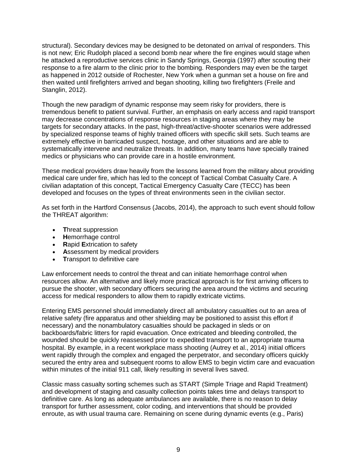structural). Secondary devices may be designed to be detonated on arrival of responders. This is not new; Eric Rudolph placed a second bomb near where the fire engines would stage when he attacked a reproductive services clinic in Sandy Springs, Georgia (1997) after scouting their response to a fire alarm to the clinic prior to the bombing. Responders may even be the target as happened in 2012 outside of Rochester, New York when a gunman set a house on fire and then waited until firefighters arrived and began shooting, killing two firefighters (Freile and Stanglin, 2012).

Though the new paradigm of dynamic response may seem risky for providers, there is tremendous benefit to patient survival. Further, an emphasis on early access and rapid transport may decrease concentrations of response resources in staging areas where they may be targets for secondary attacks. In the past, high-threat/active-shooter scenarios were addressed by specialized response teams of highly trained officers with specific skill sets. Such teams are extremely effective in barricaded suspect, hostage, and other situations and are able to systematically intervene and neutralize threats. In addition, many teams have specially trained medics or physicians who can provide care in a hostile environment.

These medical providers draw heavily from the lessons learned from the military about providing medical care under fire, which has led to the concept of Tactical Combat Casualty Care. A civilian adaptation of this concept, Tactical Emergency Casualty Care (TECC) has been developed and focuses on the types of threat environments seen in the civilian sector.

As set forth in the Hartford Consensus (Jacobs, 2014), the approach to such event should follow the THREAT algorithm:

- **T**hreat suppression
- **H**emorrhage control
- **R**apid **E**xtrication to safety
- **A**ssessment by medical providers
- **Transport to definitive care**

Law enforcement needs to control the threat and can initiate hemorrhage control when resources allow. An alternative and likely more practical approach is for first arriving officers to pursue the shooter, with secondary officers securing the area around the victims and securing access for medical responders to allow them to rapidly extricate victims.

Entering EMS personnel should immediately direct all ambulatory casualties out to an area of relative safety (fire apparatus and other shielding may be positioned to assist this effort if necessary) and the nonambulatory casualties should be packaged in sleds or on backboards/fabric litters for rapid evacuation. Once extricated and bleeding controlled, the wounded should be quickly reassessed prior to expedited transport to an appropriate trauma hospital. By example, in a recent workplace mass shooting (Autrey et al., 2014) initial officers went rapidly through the complex and engaged the perpetrator, and secondary officers quickly secured the entry area and subsequent rooms to allow EMS to begin victim care and evacuation within minutes of the initial 911 call, likely resulting in several lives saved.

Classic mass casualty sorting schemes such as START (Simple Triage and Rapid Treatment) and development of staging and casualty collection points takes time and delays transport to definitive care. As long as adequate ambulances are available, there is no reason to delay transport for further assessment, color coding, and interventions that should be provided enroute, as with usual trauma care. Remaining on scene during dynamic events (e.g., Paris)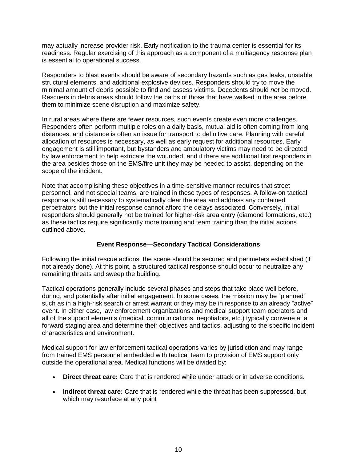may actually increase provider risk. Early notification to the trauma center is essential for its readiness. Regular exercising of this approach as a component of a multiagency response plan is essential to operational success.

Responders to blast events should be aware of secondary hazards such as gas leaks, unstable structural elements, and additional explosive devices. Responders should try to move the minimal amount of debris possible to find and assess victims. Decedents should *not* be moved. Rescuers in debris areas should follow the paths of those that have walked in the area before them to minimize scene disruption and maximize safety.

In rural areas where there are fewer resources, such events create even more challenges. Responders often perform multiple roles on a daily basis, mutual aid is often coming from long distances, and distance is often an issue for transport to definitive care. Planning with careful allocation of resources is necessary, as well as early request for additional resources. Early engagement is still important, but bystanders and ambulatory victims may need to be directed by law enforcement to help extricate the wounded, and if there are additional first responders in the area besides those on the EMS/fire unit they may be needed to assist, depending on the scope of the incident.

Note that accomplishing these objectives in a time-sensitive manner requires that street personnel, and not special teams, are trained in these types of responses. A follow-on tactical response is still necessary to systematically clear the area and address any contained perpetrators but the initial response cannot afford the delays associated. Conversely, initial responders should generally not be trained for higher-risk area entry (diamond formations, etc.) as these tactics require significantly more training and team training than the initial actions outlined above.

# **Event Response—Secondary Tactical Considerations**

Following the initial rescue actions, the scene should be secured and perimeters established (if not already done). At this point, a structured tactical response should occur to neutralize any remaining threats and sweep the building.

Tactical operations generally include several phases and steps that take place well before, during, and potentially after initial engagement. In some cases, the mission may be "planned" such as in a high-risk search or arrest warrant or they may be in response to an already "active" event. In either case, law enforcement organizations and medical support team operators and all of the support elements (medical, communications, negotiators, etc.) typically convene at a forward staging area and determine their objectives and tactics, adjusting to the specific incident characteristics and environment.

Medical support for law enforcement tactical operations varies by jurisdiction and may range from trained EMS personnel embedded with tactical team to provision of EMS support only outside the operational area. Medical functions will be divided by:

- **Direct threat care:** Care that is rendered while under attack or in adverse conditions.
- **Indirect threat care:** Care that is rendered while the threat has been suppressed, but which may resurface at any point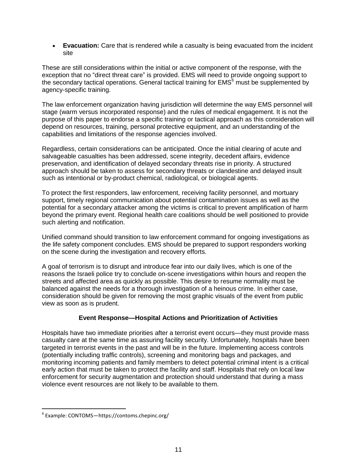**Evacuation:** Care that is rendered while a casualty is being evacuated from the incident site

These are still considerations within the initial or active component of the response, with the exception that no "direct threat care" is provided. EMS will need to provide ongoing support to the secondary tactical operations. General tactical training for  $EMS<sup>6</sup>$  must be supplemented by agency-specific training.

The law enforcement organization having jurisdiction will determine the way EMS personnel will stage (warm versus incorporated response) and the rules of medical engagement. It is not the purpose of this paper to endorse a specific training or tactical approach as this consideration will depend on resources, training, personal protective equipment, and an understanding of the capabilities and limitations of the response agencies involved.

Regardless, certain considerations can be anticipated. Once the initial clearing of acute and salvageable casualties has been addressed, scene integrity, decedent affairs, evidence preservation, and identification of delayed secondary threats rise in priority. A structured approach should be taken to assess for secondary threats or clandestine and delayed insult such as intentional or by-product chemical, radiological, or biological agents.

To protect the first responders, law enforcement, receiving facility personnel, and mortuary support, timely regional communication about potential contamination issues as well as the potential for a secondary attacker among the victims is critical to prevent amplification of harm beyond the primary event. Regional health care coalitions should be well positioned to provide such alerting and notification.

Unified command should transition to law enforcement command for ongoing investigations as the life safety component concludes. EMS should be prepared to support responders working on the scene during the investigation and recovery efforts.

A goal of terrorism is to disrupt and introduce fear into our daily lives, which is one of the reasons the Israeli police try to conclude on-scene investigations within hours and reopen the streets and affected area as quickly as possible. This desire to resume normality must be balanced against the needs for a thorough investigation of a heinous crime. In either case, consideration should be given for removing the most graphic visuals of the event from public view as soon as is prudent.

# **Event Response—Hospital Actions and Prioritization of Activities**

Hospitals have two immediate priorities after a terrorist event occurs—they must provide mass casualty care at the same time as assuring facility security. Unfortunately, hospitals have been targeted in terrorist events in the past and will be in the future. Implementing access controls (potentially including traffic controls), screening and monitoring bags and packages, and monitoring incoming patients and family members to detect potential criminal intent is a critical early action that must be taken to protect the facility and staff. Hospitals that rely on local law enforcement for security augmentation and protection should understand that during a mass violence event resources are not likely to be available to them.

<sup>6</sup> Example: CONTOMS—https://contoms.chepinc.org/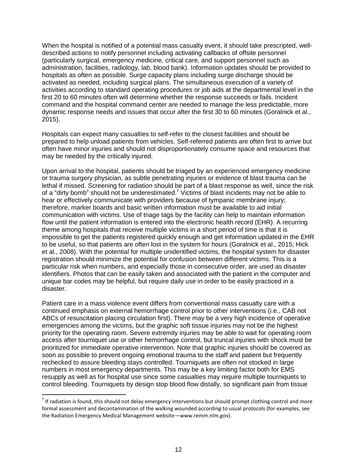When the hospital is notified of a potential mass casualty event, it should take prescripted, welldescribed actions to notify personnel including activating callbacks of offsite personnel (particularly surgical, emergency medicine, critical care, and support personnel such as administration, facilities, radiology, lab, blood bank). Information updates should be provided to hospitals as often as possible. Surge capacity plans including surge discharge should be activated as needed, including surgical plans. The simultaneous execution of a variety of activities according to standard operating procedures or job aids at the departmental level in the first 20 to 60 minutes often will determine whether the response succeeds or fails. Incident command and the hospital command center are needed to manage the less predictable, more dynamic response needs and issues that occur after the first 30 to 60 minutes (Goralnick et al., 2015).

Hospitals can expect many casualties to self-refer to the closest facilities and should be prepared to help unload patients from vehicles. Self-referred patients are often first to arrive but often have minor injuries and should not disproportionately consume space and resources that may be needed by the critically injured.

Upon arrival to the hospital, patients should be triaged by an experienced emergency medicine or trauma surgery physician, as subtle penetrating injuries or evidence of blast trauma can be lethal if missed. Screening for radiation should be part of a blast response as well, since the risk of a "dirty bomb" should not be underestimated.<sup>7</sup> Victims of blast incidents may not be able to hear or effectively communicate with providers because of tympanic membrane injury; therefore, marker boards and basic written information must be available to aid initial communication with victims. Use of triage tags by the facility can help to maintain information flow until the patient information is entered into the electronic health record (EHR). A recurring theme among hospitals that receive multiple victims in a short period of time is that it is impossible to get the patients registered quickly enough and get information updated in the EHR to be useful, so that patients are often lost in the system for hours (Goralnick et al., 2015; Hick et al., 2008). With the potential for multiple unidentified victims, the hospital system for disaster registration should minimize the potential for confusion between different victims. This is a particular risk when numbers, and especially those in consecutive order, are used as disaster identifiers. Photos that can be easily taken and associated with the patient in the computer and unique bar codes may be helpful, but require daily use in order to be easily practiced in a disaster.

Patient care in a mass violence event differs from conventional mass casualty care with a continued emphasis on external hemorrhage control prior to other interventions (i.e., CAB not ABCs of resuscitation placing circulation first). There may be a very high incidence of operative emergencies among the victims, but the graphic soft tissue injuries may not be the highest priority for the operating room. Severe extremity injuries may be able to wait for operating room access after tourniquet use or other hemorrhage control, but truncal injuries with shock must be prioritized for immediate operative intervention. Note that graphic injuries should be covered as soon as possible to prevent ongoing emotional trauma to the staff and patient but frequently rechecked to assure bleeding stays controlled. Tourniquets are often not stocked in large numbers in most emergency departments. This may be a key limiting factor both for EMS resupply as well as for hospital use since some casualties may require multiple tourniquets to control bleeding. Tourniquets by design stop blood flow distally, so significant pain from tissue

 $^7$  If radiation is found, this should not delay emergency interventions but should prompt clothing control and more formal assessment and decontamination of the walking wounded according to usual protocols (for examples, see the Radiation Emergency Medical Management website—www.remm.nlm.gov).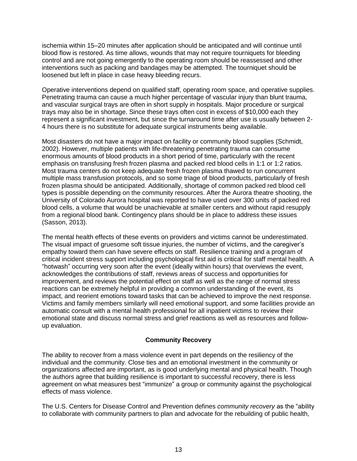ischemia within 15–20 minutes after application should be anticipated and will continue until blood flow is restored. As time allows, wounds that may not require tourniquets for bleeding control and are not going emergently to the operating room should be reassessed and other interventions such as packing and bandages may be attempted. The tourniquet should be loosened but left in place in case heavy bleeding recurs.

Operative interventions depend on qualified staff, operating room space, and operative supplies. Penetrating trauma can cause a much higher percentage of vascular injury than blunt trauma, and vascular surgical trays are often in short supply in hospitals. Major procedure or surgical trays may also be in shortage. Since these trays often cost in excess of \$10,000 each they represent a significant investment, but since the turnaround time after use is usually between 2- 4 hours there is no substitute for adequate surgical instruments being available.

Most disasters do not have a major impact on facility or community blood supplies (Schmidt, 2002). However, multiple patients with life-threatening penetrating trauma can consume enormous amounts of blood products in a short period of time, particularly with the recent emphasis on transfusing fresh frozen plasma and packed red blood cells in 1:1 or 1:2 ratios. Most trauma centers do not keep adequate fresh frozen plasma thawed to run concurrent multiple mass transfusion protocols, and so some triage of blood products, particularly of fresh frozen plasma should be anticipated. Additionally, shortage of common packed red blood cell types is possible depending on the community resources. After the Aurora theatre shooting, the University of Colorado Aurora hospital was reported to have used over 300 units of packed red blood cells, a volume that would be unachievable at smaller centers and without rapid resupply from a regional blood bank. Contingency plans should be in place to address these issues (Sasson, 2013).

The mental health effects of these events on providers and victims cannot be underestimated. The visual impact of gruesome soft tissue injuries, the number of victims, and the caregiver's empathy toward them can have severe effects on staff. Resilience training and a program of critical incident stress support including psychological first aid is critical for staff mental health. A "hotwash" occurring very soon after the event (ideally within hours) that overviews the event, acknowledges the contributions of staff, reviews areas of success and opportunities for improvement, and reviews the potential effect on staff as well as the range of normal stress reactions can be extremely helpful in providing a common understanding of the event, its impact, and reorient emotions toward tasks that can be achieved to improve the next response. Victims and family members similarly will need emotional support, and some facilities provide an automatic consult with a mental health professional for all inpatient victims to review their emotional state and discuss normal stress and grief reactions as well as resources and followup evaluation.

# **Community Recovery**

The ability to recover from a mass violence event in part depends on the resiliency of the individual and the community. Close ties and an emotional investment in the community or organizations affected are important, as is good underlying mental and physical health. Though the authors agree that building resilience is important to successful recovery, there is less agreement on what measures best "immunize" a group or community against the psychological effects of mass violence.

The U.S. Centers for Disease Control and Prevention defines *community recovery* as the "ability to collaborate with community partners to plan and advocate for the rebuilding of public health,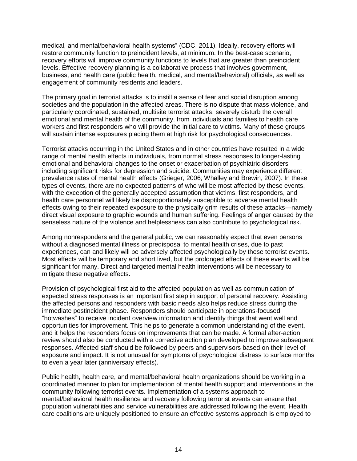medical, and mental/behavioral health systems" (CDC, 2011). Ideally, recovery efforts will restore community function to preincident levels, at minimum. In the best-case scenario, recovery efforts will improve community functions to levels that are greater than preincident levels. Effective recovery planning is a collaborative process that involves government, business, and health care (public health, medical, and mental/behavioral) officials, as well as engagement of community residents and leaders.

The primary goal in terrorist attacks is to instill a sense of fear and social disruption among societies and the population in the affected areas. There is no dispute that mass violence, and particularly coordinated, sustained, multisite terrorist attacks, severely disturb the overall emotional and mental health of the community, from individuals and families to health care workers and first responders who will provide the initial care to victims. Many of these groups will sustain intense exposures placing them at high risk for psychological consequences.

Terrorist attacks occurring in the United States and in other countries have resulted in a wide range of mental health effects in individuals, from normal stress responses to longer-lasting emotional and behavioral changes to the onset or exacerbation of psychiatric disorders including significant risks for depression and suicide. Communities may experience different prevalence rates of mental health effects (Grieger, 2006; Whalley and Brewin, 2007). In these types of events, there are no expected patterns of who will be most affected by these events, with the exception of the generally accepted assumption that victims, first responders, and health care personnel will likely be disproportionately susceptible to adverse mental health effects owing to their repeated exposure to the physically grim results of these attacks—namely direct visual exposure to graphic wounds and human suffering. Feelings of anger caused by the senseless nature of the violence and helplessness can also contribute to psychological risk.

Among nonresponders and the general public, we can reasonably expect that even persons without a diagnosed mental illness or predisposal to mental health crises, due to past experiences, can and likely will be adversely affected psychologically by these terrorist events. Most effects will be temporary and short lived, but the prolonged effects of these events will be significant for many. Direct and targeted mental health interventions will be necessary to mitigate these negative effects.

Provision of psychological first aid to the affected population as well as communication of expected stress responses is an important first step in support of personal recovery. Assisting the affected persons and responders with basic needs also helps reduce stress during the immediate postincident phase. Responders should participate in operations-focused "hotwashes" to receive incident overview information and identify things that went well and opportunities for improvement. This helps to generate a common understanding of the event, and it helps the responders focus on improvements that can be made. A formal after-action review should also be conducted with a corrective action plan developed to improve subsequent responses. Affected staff should be followed by peers and supervisors based on their level of exposure and impact. It is not unusual for symptoms of psychological distress to surface months to even a year later (anniversary effects).

Public health, health care, and mental/behavioral health organizations should be working in a coordinated manner to plan for implementation of mental health support and interventions in the community following terrorist events. Implementation of a systems approach to mental/behavioral health resilience and recovery following terrorist events can ensure that population vulnerabilities and service vulnerabilities are addressed following the event. Health care coalitions are uniquely positioned to ensure an effective systems approach is employed to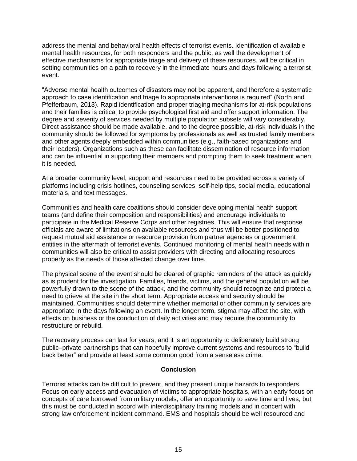address the mental and behavioral health effects of terrorist events. Identification of available mental health resources, for both responders and the public, as well the development of effective mechanisms for appropriate triage and delivery of these resources, will be critical in setting communities on a path to recovery in the immediate hours and days following a terrorist event.

"Adverse mental health outcomes of disasters may not be apparent, and therefore a systematic approach to case identification and triage to appropriate interventions is required" (North and Pfefferbaum, 2013). Rapid identification and proper triaging mechanisms for at-risk populations and their families is critical to provide psychological first aid and offer support information. The degree and severity of services needed by multiple population subsets will vary considerably. Direct assistance should be made available, and to the degree possible, at-risk individuals in the community should be followed for symptoms by professionals as well as trusted family members and other agents deeply embedded within communities (e.g., faith-based organizations and their leaders). Organizations such as these can facilitate dissemination of resource information and can be influential in supporting their members and prompting them to seek treatment when it is needed.

At a broader community level, support and resources need to be provided across a variety of platforms including crisis hotlines, counseling services, self-help tips, social media, educational materials, and text messages.

Communities and health care coalitions should consider developing mental health support teams (and define their composition and responsibilities) and encourage individuals to participate in the Medical Reserve Corps and other registries. This will ensure that response officials are aware of limitations on available resources and thus will be better positioned to request mutual aid assistance or resource provision from partner agencies or government entities in the aftermath of terrorist events. Continued monitoring of mental health needs within communities will also be critical to assist providers with directing and allocating resources properly as the needs of those affected change over time.

The physical scene of the event should be cleared of graphic reminders of the attack as quickly as is prudent for the investigation. Families, friends, victims, and the general population will be powerfully drawn to the scene of the attack, and the community should recognize and protect a need to grieve at the site in the short term. Appropriate access and security should be maintained. Communities should determine whether memorial or other community services are appropriate in the days following an event. In the longer term, stigma may affect the site, with effects on business or the conduction of daily activities and may require the community to restructure or rebuild.

The recovery process can last for years, and it is an opportunity to deliberately build strong public–private partnerships that can hopefully improve current systems and resources to "build back better" and provide at least some common good from a senseless crime.

# **Conclusion**

Terrorist attacks can be difficult to prevent, and they present unique hazards to responders. Focus on early access and evacuation of victims to appropriate hospitals, with an early focus on concepts of care borrowed from military models, offer an opportunity to save time and lives, but this must be conducted in accord with interdisciplinary training models and in concert with strong law enforcement incident command. EMS and hospitals should be well resourced and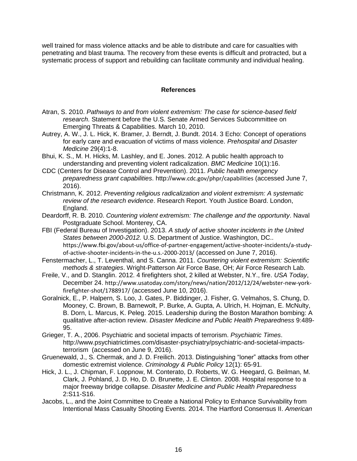well trained for mass violence attacks and be able to distribute and care for casualties with penetrating and blast trauma. The recovery from these events is difficult and protracted, but a systematic process of support and rebuilding can facilitate community and individual healing.

#### **References**

- Atran, S. 2010. *Pathways to and from violent extremism: The case for science-based field research*. Statement before the U.S. Senate Armed Services Subcommittee on Emerging Threats & Capabilities. March 10, 2010.
- Autrey, A. W., J. L. Hick, K. Bramer, J. Berndt, J. Bundt. 2014. 3 Echo: Concept of operations for early care and evacuation of victims of mass violence. *Prehospital and Disaster Medicine* 29(4):1-8.
- Bhui, K. S., M. H. Hicks, M. Lashley, and E. Jones. 2012. A public health approach to understanding and preventing violent radicalization. *BMC Medicine* 10(1):16.
- CDC (Centers for Disease Control and Prevention). 2011. *Public health emergency preparedness grant capabilities*. http://www.cdc.gov/phpr/capabilities (accessed June 7, 2016).
- Christmann, K. 2012. *Preventing religious radicalization and violent extremism: A systematic review of the research evidence*. Research Report. Youth Justice Board. London, England.
- Deardorff, R. B. 2010. *Countering violent extremism: The challenge and the opportunity*. Naval Postgraduate School. Monterey, CA.
- FBI (Federal Bureau of Investigation). 2013. *A study of active shooter incidents in the United States between 2000-2012.* U.S. Department of Justice. Washington, DC.. https://www.fbi.gov/about-us/office-of-partner-engagement/active-shooter-incidents/a-studyof-active-shooter-incidents-in-the-u.s.-2000-2013/ (accessed on June 7, 2016).
- Fenstermacher, L., T. Leventhal, and S. Canna. 2011. *Countering violent extremism: Scientific methods & strategies*. Wright-Patterson Air Force Base, OH; Air Force Research Lab.
- Freile, V., and D. Stanglin. 2012. 4 firefighters shot, 2 killed at Webster, N.Y., fire. *USA Today*, December 24. http://www.usatoday.com/story/news/nation/2012/12/24/webster-new-yorkfirefighter-shot/1788917/ (accessed June 10, 2016).
- Goralnick, E., P. Halpern, S. Loo, J. Gates, P. Biddinger, J. Fisher, G. Velmahos, S. Chung, D. Mooney, C. Brown, B. Barnewolt, P. Burke, A. Gupta, A. Ulrich, H. Hojman, E. McNulty, B. Dorn, L. Marcus, K. Peleg. 2015. Leadership during the Boston Marathon bombing: A qualitative after-action review. *Disaster Medicine and Public Health Preparedness* 9:489- 95.
- Grieger, T. A., 2006. Psychiatric and societal impacts of terrorism. *Psychiatric Times*. http://www.psychiatrictimes.com/disaster-psychiatry/psychiatric-and-societal-impactsterrorism (accessed on June 9, 2016).
- Gruenewald, J., S. Chermak, and J. D. Freilich. 2013. Distinguishing "loner" attacks from other domestic extremist violence. *Criminology & Public Policy* 12(1): 65-91.
- Hick, J. L., J. Chipman, F. Loppnow, M. Conterato, D. Roberts, W. G. Heegard, G. Beilman, M. Clark, J. Pohland, J. D. Ho, D. D. Brunette, J. E. Clinton. 2008. Hospital response to a major freeway bridge collapse. *Disaster Medicine and Public Health Preparedness* 2:S11-S16.
- Jacobs, L., and the Joint Committee to Create a National Policy to Enhance Survivability from Intentional Mass Casualty Shooting Events. 2014. The Hartford Consensus II. *American*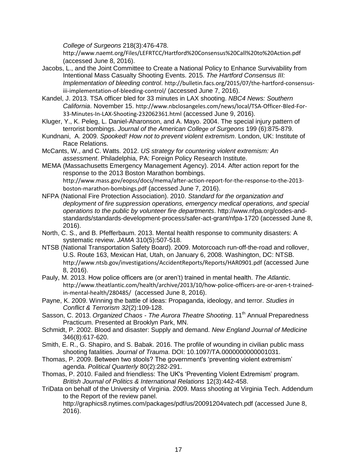*College of Surgeons* 218(3):476-478.

http://www.naemt.org/Files/LEFRTCC/Hartford%20Consensus%20Call%20to%20Action.pdf (accessed June 8, 2016).

- Jacobs, L., and the Joint Committee to Create a National Policy to Enhance Survivability from Intentional Mass Casualty Shooting Events. 2015. *The Hartford Consensus III: Implementation of bleeding control*. http://bulletin.facs.org/2015/07/the-hartford-consensusiii-implementation-of-bleeding-control/ (accessed June 7, 2016).
- Kandel, J. 2013. TSA officer bled for 33 minutes in LAX shooting. *NBC4 News: Southern California*. November 15. http://www.nbclosangeles.com/news/local/TSA-Officer-Bled-For-33-Minutes-In-LAX-Shooting-232062361.html (accessed June 9, 2016).
- Kluger, Y., K. Peleg, L. Daniel-Aharonson, and A. Mayo. 2004. The special injury pattern of terrorist bombings. *Journal of the American College of Surgeons* 199 (6):875-879.
- Kundnani, A. 2009. *Spooked! How not to prevent violent extremism*. London, UK: Institute of Race Relations.
- McCants, W., and C. Watts. 2012. *US strategy for countering violent extremism: An assessment*. Philadelphia, PA: Foreign Policy Research Institute.
- MEMA (Massachusetts Emergency Management Agency). 2014. After action report for the response to the 2013 Boston Marathon bombings. http://www.mass.gov/eopss/docs/mema/after-action-report-for-the-response-to-the-2013 boston-marathon-bombings.pdf (accessed June 7, 2016).
- NFPA (National Fire Protection Association). 2010. *Standard for the organization and deployment of fire suppression operations, emergency medical operations, and special operations to the public by volunteer fire departments*. http://www.nfpa.org/codes-andstandards/standards-development-process/safer-act-grant/nfpa-1720 (accessed June 8, 2016).
- North, C. S., and B. Pfefferbaum. 2013. Mental health response to community disasters: A systematic review. *JAMA* 310(5):507-518.
- NTSB (National Transportation Safety Board). 2009. Motorcoach run-off-the-road and rollover, U.S. Route 163, Mexican Hat, Utah, on January 6, 2008. Washington, DC: NTSB. http://www.ntsb.gov/investigations/AccidentReports/Reports/HAR0901.pdf (accessed June 8, 2016).
- Pauly, M. 2013. How police officers are (or aren't) trained in mental health. *The Atlantic*. http://www.theatlantic.com/health/archive/2013/10/how-police-officers-are-or-aren-t-trainedin-mental-health/280485/ (accessed June 8, 2016).
- Payne, K. 2009. Winning the battle of ideas: Propaganda, ideology, and terror. *Studies in Conflict & Terrorism 32*(2):109-128.
- Sasson, C. 2013. Organized Chaos The Aurora Theatre Shooting. 11<sup>th</sup> Annual Preparedness Practicum. Presented at Brooklyn Park, MN.
- Schmidt, P. 2002. Blood and disaster: Supply and demand. *New England Journal of Medicine* 346(8):617-620.
- Smith, E. R., G. Shapiro, and S. Babak. 2016. The profile of wounding in civilian public mass shooting fatalities. *Journal of Trauma*. DOI: 10.1097/TA.0000000000001031.
- Thomas, P. 2009. Between two stools? The government's 'preventing violent extremism' agenda. *Political Quarterly* 80(2):282-291.
- Thomas, P. 2010. Failed and friendless: The UK's 'Preventing Violent Extremism' program. *British Journal of Politics & International Relations* 12(3):442-458.
- TriData on behalf of the University of Virginia. 2009. Mass shooting at Virginia Tech. Addendum to the Report of the review panel.

http://graphics8.nytimes.com/packages/pdf/us/20091204vatech.pdf (accessed June 8, 2016).